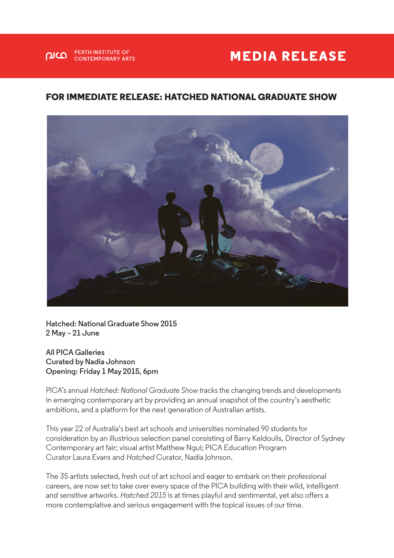## **MEDIA RELEASE**

## **FOR IMMEDIATE RELEASE: HATCHED NATIONAL GRADUATE SHOW**



**Hatched: National Graduate Show 2015 2 May – 21 June**

**All PICA Galleries Curated by Nadia Johnson Opening: Friday 1 May 2015, 6pm**

**PERTH INSTITUTE OF** 

**CONTEMPORARY ARTS** 

 $\Omega$ 

PICA's annual *Hatched: National Graduate Show t*racks the changing trends and developments in emerging contemporary art by providing an annual snapshot of the country's aesthetic ambitions, and a platform for the next generation of Australian artists.

This year 22 of Australia's best art schools and universities nominated 90 students for consideration by an illustrious selection panel consisting of Barry Keldoulis, Director of Sydney Contemporary art fair; visual artist Matthew Ngui; PICA Education Program Curator Laura Evans and *Hatched* Curator, Nadia Johnson.

The 35 artists selected, fresh out of art school and eager to embark on their professional careers, are now set to take over every space of the PICA building with their wild, intelligent and sensitive artworks. *Hatched 2015* is at times playful and sentimental, yet also offers a more contemplative and serious engagement with the topical issues of our time.